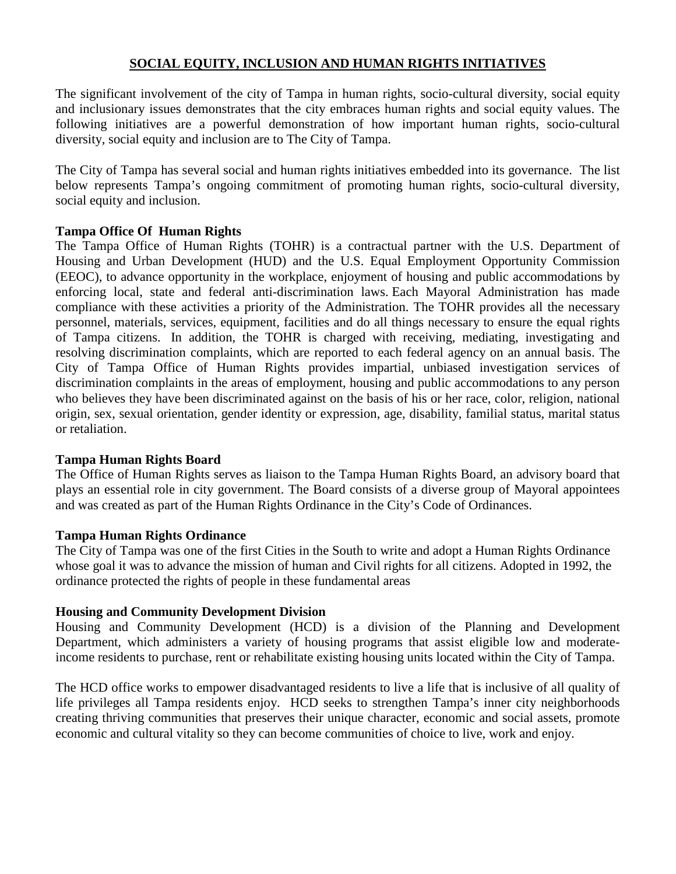# **SOCIAL EQUITY, INCLUSION AND HUMAN RIGHTS INITIATIVES**

The significant involvement of the city of Tampa in human rights, socio-cultural diversity, social equity and inclusionary issues demonstrates that the city embraces human rights and social equity values. The following initiatives are a powerful demonstration of how important human rights, socio-cultural diversity, social equity and inclusion are to The City of Tampa.

The City of Tampa has several social and human rights initiatives embedded into its governance. The list below represents Tampa's ongoing commitment of promoting human rights, socio-cultural diversity, social equity and inclusion.

## **Tampa Office Of Human Rights**

The Tampa Office of Human Rights (TOHR) is a contractual partner with the U.S. Department of Housing and Urban Development (HUD) and the U.S. Equal Employment Opportunity Commission (EEOC), to advance opportunity in the workplace, enjoyment of housing and public accommodations by enforcing local, state and federal anti-discrimination laws. Each Mayoral Administration has made compliance with these activities a priority of the Administration. The TOHR provides all the necessary personnel, materials, services, equipment, facilities and do all things necessary to ensure the equal rights of Tampa citizens. In addition, the TOHR is charged with receiving, mediating, investigating and resolving discrimination complaints, which are reported to each federal agency on an annual basis. The City of Tampa Office of Human Rights provides impartial, unbiased investigation services of discrimination complaints in the areas of employment, housing and public accommodations to any person who believes they have been discriminated against on the basis of his or her race, color, religion, national origin, sex, sexual orientation, gender identity or expression, age, disability, familial status, marital status or retaliation.

### **Tampa Human Rights Board**

The Office of Human Rights serves as liaison to the Tampa Human Rights Board, an advisory board that plays an essential role in city government. The Board consists of a diverse group of Mayoral appointees and was created as part of the Human Rights Ordinance in the City's Code of Ordinances.

### **Tampa Human Rights Ordinance**

The City of Tampa was one of the first Cities in the South to write and adopt a Human Rights Ordinance whose goal it was to advance the mission of human and Civil rights for all citizens. Adopted in 1992, the ordinance protected the rights of people in these fundamental areas

### **Housing and Community Development Division**

Housing and Community Development (HCD) is a division of the Planning and Development Department, which administers a variety of housing programs that assist eligible low and moderateincome residents to purchase, rent or rehabilitate existing housing units located within the City of Tampa.

The HCD office works to empower disadvantaged residents to live a life that is inclusive of all quality of life privileges all Tampa residents enjoy. HCD seeks to strengthen Tampa's inner city neighborhoods creating thriving communities that preserves their unique character, economic and social assets, promote economic and cultural vitality so they can become communities of choice to live, work and enjoy.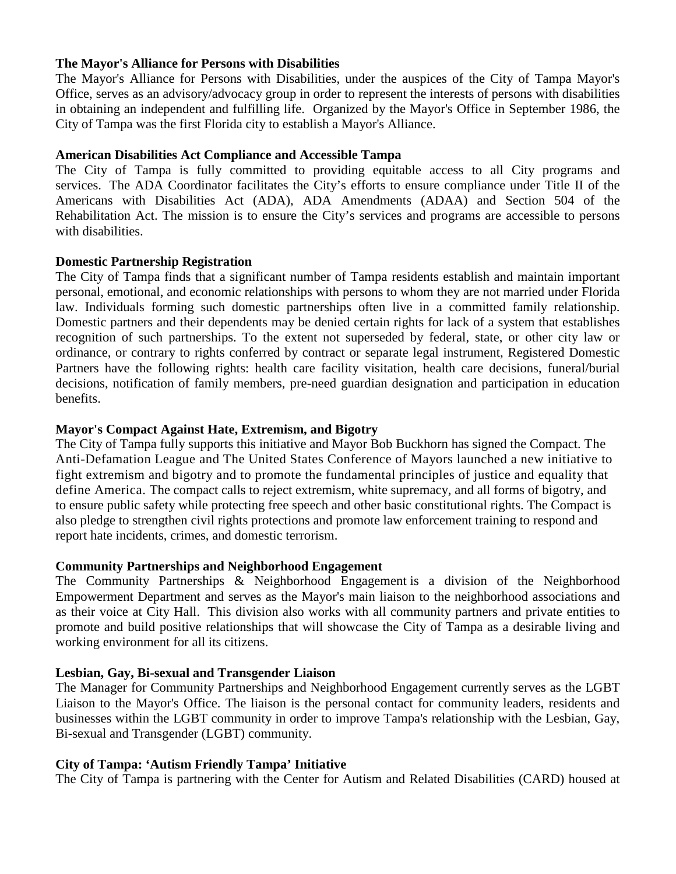### **The Mayor's Alliance for Persons with Disabilities**

The Mayor's Alliance for Persons with Disabilities, under the auspices of the City of Tampa Mayor's Office, serves as an advisory/advocacy group in order to represent the interests of persons with disabilities in obtaining an independent and fulfilling life. Organized by the Mayor's Office in September 1986, the City of Tampa was the first Florida city to establish a Mayor's Alliance.

### **American Disabilities Act Compliance and Accessible Tampa**

The City of Tampa is fully committed to providing equitable access to all City programs and services. The ADA Coordinator facilitates the City's efforts to ensure compliance under Title II of the Americans with Disabilities Act (ADA), ADA Amendments (ADAA) and Section 504 of the Rehabilitation Act. The mission is to ensure the City's services and programs are accessible to persons with disabilities.

## **Domestic Partnership Registration**

The City of Tampa finds that a significant number of Tampa residents establish and maintain important personal, emotional, and economic relationships with persons to whom they are not married under Florida law. Individuals forming such domestic partnerships often live in a committed family relationship. Domestic partners and their dependents may be denied certain rights for lack of a system that establishes recognition of such partnerships. To the extent not superseded by federal, state, or other city law or ordinance, or contrary to rights conferred by contract or separate legal instrument, Registered Domestic Partners have the following rights: health care facility visitation, health care decisions, funeral/burial decisions, notification of family members, pre-need guardian designation and participation in education benefits.

## **Mayor's Compact Against Hate, Extremism, and Bigotry**

The City of Tampa fully supports this initiative and Mayor Bob Buckhorn has signed the Compact. The Anti-Defamation League and The United States Conference of Mayors launched a new initiative to fight extremism and bigotry and to promote the fundamental principles of justice and equality that define America. The compact calls to reject extremism, white supremacy, and all forms of bigotry, and to ensure public safety while protecting free speech and other basic constitutional rights. The Compact is also pledge to strengthen civil rights protections and promote law enforcement training to respond and report hate incidents, crimes, and domestic terrorism.

## **Community Partnerships and Neighborhood Engagement**

The Community Partnerships & Neighborhood Engagement is a division of the Neighborhood Empowerment Department and serves as the Mayor's main liaison to the neighborhood associations and as their voice at City Hall. This division also works with all community partners and private entities to promote and build positive relationships that will showcase the City of Tampa as a desirable living and working environment for all its citizens.

## **Lesbian, Gay, Bi-sexual and Transgender Liaison**

The Manager for Community Partnerships and Neighborhood Engagement currently serves as the LGBT Liaison to the Mayor's Office. The liaison is the personal contact for community leaders, residents and businesses within the LGBT community in order to improve Tampa's relationship with the Lesbian, Gay, Bi-sexual and Transgender (LGBT) community.

## **City of Tampa: 'Autism Friendly Tampa' Initiative**

The City of Tampa is partnering with the Center for Autism and Related Disabilities (CARD) housed at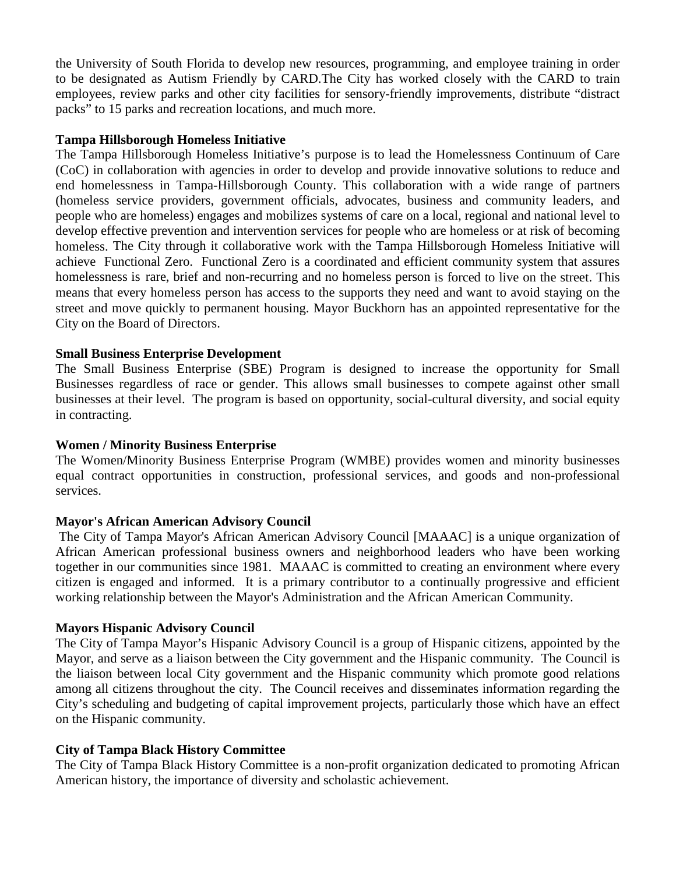the University of South Florida to develop new resources, programming, and employee training in order to be designated as Autism Friendly by CARD.The City has worked closely with the CARD to train employees, review parks and other city facilities for sensory-friendly improvements, distribute "distract packs" to 15 parks and recreation locations, and much more.

## **Tampa Hillsborough Homeless Initiative**

The Tampa Hillsborough Homeless Initiative's purpose is to lead the Homelessness Continuum of Care (CoC) in collaboration with agencies in order to develop and provide innovative solutions to reduce and end homelessness in Tampa-Hillsborough County. This collaboration with a wide range of partners (homeless service providers, government officials, advocates, business and community leaders, and people who are homeless) engages and mobilizes systems of care on a local, regional and national level to develop effective prevention and intervention services for people who are homeless or at risk of becoming homeless. The City through it collaborative work with the Tampa Hillsborough Homeless Initiative will achieve Functional Zero. Functional Zero is a coordinated and efficient community system that assures homelessness is rare, brief and non-recurring and no homeless person is forced to live on the street. This means that every homeless person has access to the supports they need and want to avoid staying on the street and move quickly to permanent housing. Mayor Buckhorn has an appointed representative for the City on the Board of Directors.

## **Small Business Enterprise Development**

The Small Business Enterprise (SBE) Program is designed to increase the opportunity for Small Businesses regardless of race or gender. This allows small businesses to compete against other small businesses at their level. The program is based on opportunity, social-cultural diversity, and social equity in contracting.

### **Women / Minority Business Enterprise**

The [Women/Minority Business Enterprise Program \(WMBE\) p](https://www.tampagov.net/minority-business-development/programs/women-and-minority-business-enterprise-program)rovides women and minority businesses equal contract opportunities in construction, professional services, and goods and non-professional services.

### **Mayor's African American Advisory Council**

The City of Tampa Mayor's African American Advisory Council [\[MAAAC\]](https://www.tampagov.net/sites/default/files/mayors-african-american-advisory-council/files/MAAAC_Application.pdf) is a unique organization of African American professional business owners and neighborhood leaders who have been working together in our communities since 1981. MAAAC is committed to creating an environment where every citizen is engaged and informed. It is a primary contributor to a continually progressive and efficient working relationship between the Mayor's Administration and the African American Community.

### **Mayors Hispanic Advisory Council**

The City of Tampa Mayor's Hispanic Advisory Council is a group of Hispanic citizens, appointed by the Mayor, and serve as a liaison between the City government and the Hispanic community. The Council is the liaison between local City government and the Hispanic community which promote good relations among all citizens throughout the city. The Council receives and disseminates information regarding the City's scheduling and budgeting of capital improvement projects, particularly those which have an effect on the Hispanic community.

### **City of Tampa Black History Committee**

The City of Tampa Black History Committee is a non-profit organization dedicated to promoting African American history, the importance of diversity and scholastic achievement.